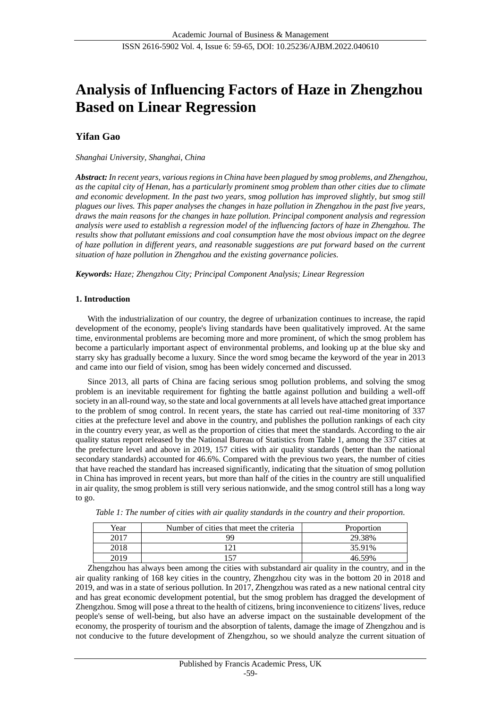# **Analysis of Influencing Factors of Haze in Zhengzhou Based on Linear Regression**

# **Yifan Gao**

## *Shanghai University, Shanghai, China*

*Abstract: In recent years, various regions in China have been plagued by smog problems, and Zhengzhou, as the capital city of Henan, has a particularly prominent smog problem than other cities due to climate and economic development. In the past two years, smog pollution has improved slightly, but smog still plagues our lives. This paper analyses the changes in haze pollution in Zhengzhou in the past five years, draws the main reasons for the changes in haze pollution. Principal component analysis and regression analysis were used to establish a regression model of the influencing factors of haze in Zhengzhou. The results show that pollutant emissions and coal consumption have the most obvious impact on the degree of haze pollution in different years, and reasonable suggestions are put forward based on the current situation of haze pollution in Zhengzhou and the existing governance policies.*

*Keywords: Haze; Zhengzhou City; Principal Component Analysis; Linear Regression*

## **1. Introduction**

With the industrialization of our country, the degree of urbanization continues to increase, the rapid development of the economy, people's living standards have been qualitatively improved. At the same time, environmental problems are becoming more and more prominent, of which the smog problem has become a particularly important aspect of environmental problems, and looking up at the blue sky and starry sky has gradually become a luxury. Since the word smog became the keyword of the year in 2013 and came into our field of vision, smog has been widely concerned and discussed.

Since 2013, all parts of China are facing serious smog pollution problems, and solving the smog problem is an inevitable requirement for fighting the battle against pollution and building a well-off society in an all-round way, so the state and local governments at all levels have attached great importance to the problem of smog control. In recent years, the state has carried out real-time monitoring of 337 cities at the prefecture level and above in the country, and publishes the pollution rankings of each city in the country every year, as well as the proportion of cities that meet the standards. According to the air quality status report released by the National Bureau of Statistics from Table 1, among the 337 cities at the prefecture level and above in 2019, 157 cities with air quality standards (better than the national secondary standards) accounted for 46.6%. Compared with the previous two years, the number of cities that have reached the standard has increased significantly, indicating that the situation of smog pollution in China has improved in recent years, but more than half of the cities in the country are still unqualified in air quality, the smog problem is still very serious nationwide, and the smog control still has a long way to go.

| Year | Number of cities that meet the criteria | Proportion |
|------|-----------------------------------------|------------|
| 2017 | 99                                      | 29.38%     |
| 2018 |                                         | 35.91%     |
| 2019 | 157                                     | 46.59%     |

*Table 1: The number of cities with air quality standards in the country and their proportion.*

Zhengzhou has always been among the cities with substandard air quality in the country, and in the air quality ranking of 168 key cities in the country, Zhengzhou city was in the bottom 20 in 2018 and 2019, and was in a state of serious pollution. In 2017, Zhengzhou was rated as a new national central city and has great economic development potential, but the smog problem has dragged the development of Zhengzhou. Smog will pose a threat to the health of citizens, bring inconvenience to citizens' lives, reduce people's sense of well-being, but also have an adverse impact on the sustainable development of the economy, the prosperity of tourism and the absorption of talents, damage the image of Zhengzhou and is not conducive to the future development of Zhengzhou, so we should analyze the current situation of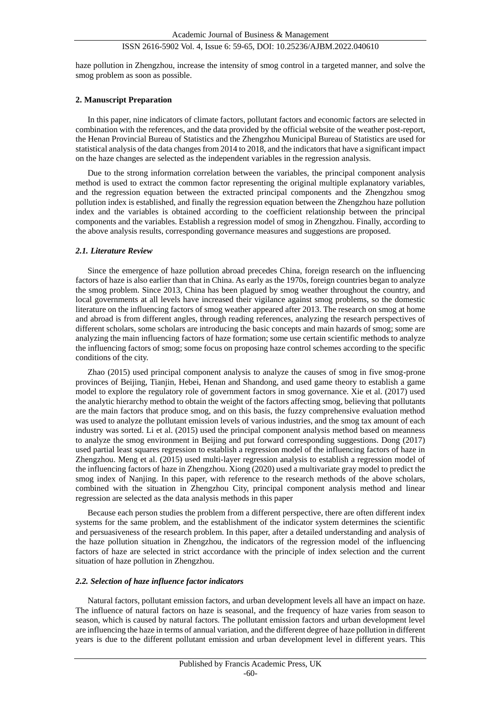haze pollution in Zhengzhou, increase the intensity of smog control in a targeted manner, and solve the smog problem as soon as possible.

## **2. Manuscript Preparation**

In this paper, nine indicators of climate factors, pollutant factors and economic factors are selected in combination with the references, and the data provided by the official website of the weather post-report, the Henan Provincial Bureau of Statistics and the Zhengzhou Municipal Bureau of Statistics are used for statistical analysis of the data changes from 2014 to 2018, and the indicators that have a significant impact on the haze changes are selected as the independent variables in the regression analysis.

Due to the strong information correlation between the variables, the principal component analysis method is used to extract the common factor representing the original multiple explanatory variables, and the regression equation between the extracted principal components and the Zhengzhou smog pollution index is established, and finally the regression equation between the Zhengzhou haze pollution index and the variables is obtained according to the coefficient relationship between the principal components and the variables. Establish a regression model of smog in Zhengzhou. Finally, according to the above analysis results, corresponding governance measures and suggestions are proposed.

#### *2.1. Literature Review*

Since the emergence of haze pollution abroad precedes China, foreign research on the influencing factors of haze is also earlier than that in China. As early as the 1970s, foreign countries began to analyze the smog problem. Since 2013, China has been plagued by smog weather throughout the country, and local governments at all levels have increased their vigilance against smog problems, so the domestic literature on the influencing factors of smog weather appeared after 2013. The research on smog at home and abroad is from different angles, through reading references, analyzing the research perspectives of different scholars, some scholars are introducing the basic concepts and main hazards of smog; some are analyzing the main influencing factors of haze formation; some use certain scientific methods to analyze the influencing factors of smog; some focus on proposing haze control schemes according to the specific conditions of the city.

Zhao (2015) used principal component analysis to analyze the causes of smog in five smog-prone provinces of Beijing, Tianjin, Hebei, Henan and Shandong, and used game theory to establish a game model to explore the regulatory role of government factors in smog governance. Xie et al. (2017) used the analytic hierarchy method to obtain the weight of the factors affecting smog, believing that pollutants are the main factors that produce smog, and on this basis, the fuzzy comprehensive evaluation method was used to analyze the pollutant emission levels of various industries, and the smog tax amount of each industry was sorted. Li et al. (2015) used the principal component analysis method based on meanness to analyze the smog environment in Beijing and put forward corresponding suggestions. Dong (2017) used partial least squares regression to establish a regression model of the influencing factors of haze in Zhengzhou. Meng et al. (2015) used multi-layer regression analysis to establish a regression model of the influencing factors of haze in Zhengzhou. Xiong (2020) used a multivariate gray model to predict the smog index of Nanjing. In this paper, with reference to the research methods of the above scholars, combined with the situation in Zhengzhou City, principal component analysis method and linear regression are selected as the data analysis methods in this paper

Because each person studies the problem from a different perspective, there are often different index systems for the same problem, and the establishment of the indicator system determines the scientific and persuasiveness of the research problem. In this paper, after a detailed understanding and analysis of the haze pollution situation in Zhengzhou, the indicators of the regression model of the influencing factors of haze are selected in strict accordance with the principle of index selection and the current situation of haze pollution in Zhengzhou.

#### *2.2. Selection of haze influence factor indicators*

Natural factors, pollutant emission factors, and urban development levels all have an impact on haze. The influence of natural factors on haze is seasonal, and the frequency of haze varies from season to season, which is caused by natural factors. The pollutant emission factors and urban development level are influencing the haze in terms of annual variation, and the different degree of haze pollution in different years is due to the different pollutant emission and urban development level in different years. This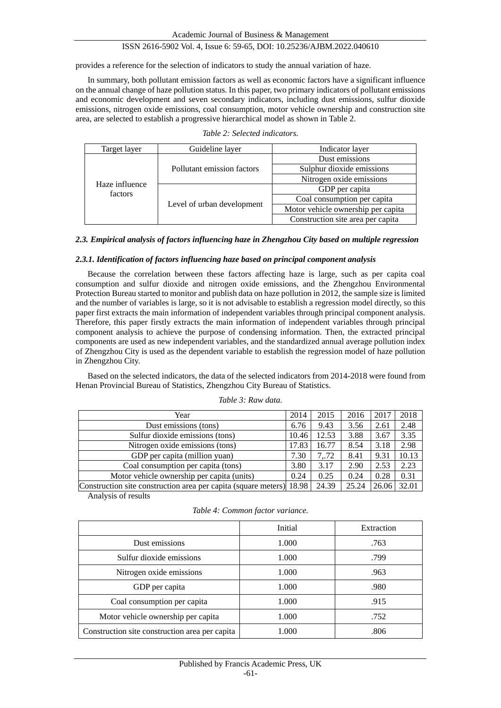provides a reference for the selection of indicators to study the annual variation of haze.

In summary, both pollutant emission factors as well as economic factors have a significant influence on the annual change of haze pollution status. In this paper, two primary indicators of pollutant emissions and economic development and seven secondary indicators, including dust emissions, sulfur dioxide emissions, nitrogen oxide emissions, coal consumption, motor vehicle ownership and construction site area, are selected to establish a progressive hierarchical model as shown in Table 2.

| Target layer              | Guideline layer            | Indicator layer                    |  |
|---------------------------|----------------------------|------------------------------------|--|
|                           |                            | Dust emissions                     |  |
|                           | Pollutant emission factors | Sulphur dioxide emissions          |  |
| Haze influence<br>factors |                            | Nitrogen oxide emissions           |  |
|                           | Level of urban development | GDP per capita                     |  |
|                           |                            | Coal consumption per capita        |  |
|                           |                            | Motor vehicle ownership per capita |  |
|                           |                            | Construction site area per capita  |  |

| Table 2: Selected indicators. |  |
|-------------------------------|--|
|-------------------------------|--|

## *2.3. Empirical analysis of factors influencing haze in Zhengzhou City based on multiple regression*

#### *2.3.1. Identification of factors influencing haze based on principal component analysis*

Because the correlation between these factors affecting haze is large, such as per capita coal consumption and sulfur dioxide and nitrogen oxide emissions, and the Zhengzhou Environmental Protection Bureau started to monitor and publish data on haze pollution in 2012, the sample size is limited and the number of variables is large, so it is not advisable to establish a regression model directly, so this paper first extracts the main information of independent variables through principal component analysis. Therefore, this paper firstly extracts the main information of independent variables through principal component analysis to achieve the purpose of condensing information. Then, the extracted principal components are used as new independent variables, and the standardized annual average pollution index of Zhengzhou City is used as the dependent variable to establish the regression model of haze pollution in Zhengzhou City.

Based on the selected indicators, the data of the selected indicators from 2014-2018 were found from Henan Provincial Bureau of Statistics, Zhengzhou City Bureau of Statistics.

| Year                                                                 | 2014  | 2015  | 2016  | 2017        | 2018  |
|----------------------------------------------------------------------|-------|-------|-------|-------------|-------|
| Dust emissions (tons)                                                | 6.76  | 9.43  | 3.56  | 2.61        | 2.48  |
| Sulfur dioxide emissions (tons)                                      | 10.46 | 12.53 | 3.88  | 3.67        | 3.35  |
| Nitrogen oxide emissions (tons)                                      | 17.83 | 16.77 | 8.54  | 3.18        | 2.98  |
| GDP per capita (million yuan)                                        | 7.30  | 7,72  | 8.41  | 9.31        | 10.13 |
| Coal consumption per capita (tons)                                   | 3.80  | 3.17  | 2.90  | 2.53        | 2.23  |
| Motor vehicle ownership per capita (units)                           | 0.24  | 0.25  | 0.24  | 0.28        | 0.31  |
| Construction site construction area per capita (square meters) 18.98 |       | 24.39 | 25.24 | 26.06 32.01 |       |

*Table 3: Raw data.*

Analysis of results

|  |  |  |  | Table 4: Common factor variance. |
|--|--|--|--|----------------------------------|
|--|--|--|--|----------------------------------|

|                                                | Initial | Extraction |
|------------------------------------------------|---------|------------|
| Dust emissions                                 | 1.000   | .763       |
| Sulfur dioxide emissions                       | 1.000   | .799       |
| Nitrogen oxide emissions                       | 1.000   | .963       |
| GDP per capita                                 | 1.000   | .980       |
| Coal consumption per capita                    | 1.000   | .915       |
| Motor vehicle ownership per capita             | 1.000   | .752       |
| Construction site construction area per capita | 1.000   | .806       |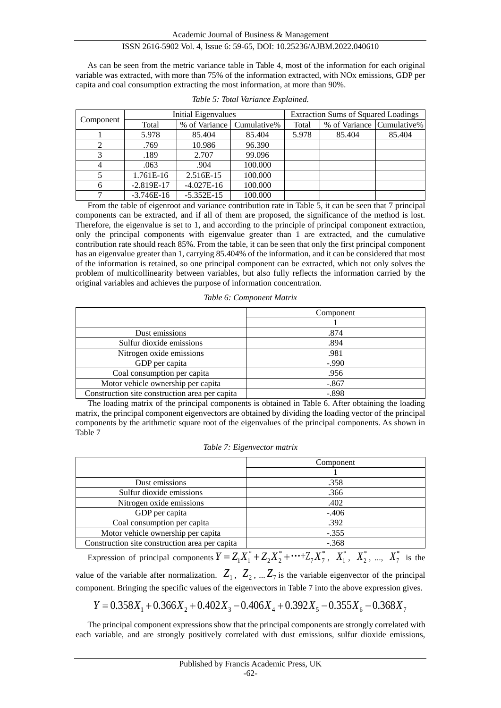As can be seen from the metric variance table in Table 4, most of the information for each original variable was extracted, with more than 75% of the information extracted, with NOx emissions, GDP per capita and coal consumption extracting the most information, at more than 90%.

|           |              | <b>Initial Eigenvalues</b>  |         |       | <b>Extraction Sums of Squared Loadings</b> |        |
|-----------|--------------|-----------------------------|---------|-------|--------------------------------------------|--------|
| Component | Total        | % of Variance   Cumulative% |         | Total | % of Variance Cumulative%                  |        |
|           | 5.978        | 85.404                      | 85.404  | 5.978 | 85.404                                     | 85.404 |
|           | .769         | 10.986                      | 96.390  |       |                                            |        |
|           | .189         | 2.707                       | 99.096  |       |                                            |        |
|           | .063         | .904                        | 100.000 |       |                                            |        |
|           | 1.761E-16    | 2.516E-15                   | 100.000 |       |                                            |        |
|           | $-2.819E-17$ | $-4.027E-16$                | 100.000 |       |                                            |        |
|           | $-3.746E-16$ | $-5.352E-15$                | 100.000 |       |                                            |        |

|  |  | Table 5: Total Variance Explained. |
|--|--|------------------------------------|
|  |  |                                    |

From the table of eigenroot and variance contribution rate in Table 5, it can be seen that 7 principal components can be extracted, and if all of them are proposed, the significance of the method is lost. Therefore, the eigenvalue is set to 1, and according to the principle of principal component extraction, only the principal components with eigenvalue greater than 1 are extracted, and the cumulative contribution rate should reach 85%. From the table, it can be seen that only the first principal component has an eigenvalue greater than 1, carrying 85.404% of the information, and it can be considered that most of the information is retained, so one principal component can be extracted, which not only solves the problem of multicollinearity between variables, but also fully reflects the information carried by the original variables and achieves the purpose of information concentration.

#### *Table 6: Component Matrix*

|                                                | Component |
|------------------------------------------------|-----------|
|                                                |           |
| Dust emissions                                 | .874      |
| Sulfur dioxide emissions                       | .894      |
| Nitrogen oxide emissions                       | .981      |
| GDP per capita                                 | $-0.990$  |
| Coal consumption per capita                    | .956      |
| Motor vehicle ownership per capita             | $-.867$   |
| Construction site construction area per capita | $-.898$   |

The loading matrix of the principal components is obtained in Table 6. After obtaining the loading matrix, the principal component eigenvectors are obtained by dividing the loading vector of the principal components by the arithmetic square root of the eigenvalues of the principal components. As shown in Table 7

|  |  | Table 7: Eigenvector matrix |
|--|--|-----------------------------|
|--|--|-----------------------------|

|                                                | Component |
|------------------------------------------------|-----------|
|                                                |           |
| Dust emissions                                 | .358      |
| Sulfur dioxide emissions                       | .366      |
| Nitrogen oxide emissions                       | .402      |
| GDP per capita                                 | $-.406$   |
| Coal consumption per capita                    | .392      |
| Motor vehicle ownership per capita             | $-.355$   |
| Construction site construction area per capita | $-.368$   |

Expression of principal components  $Y = Z_1 X_1^* + Z_2 X_2^* + \cdots + Z_7 X_7^*$ ,  $X_1^*$ ,  $X_2^*$ , ...,  $X_7^*$  is the value of the variable after normalization.  $Z_1$ ,  $Z_2$ , ...  $Z_7$  is the variable eigenvector of the principal component. Bringing the specific values of the eigenvectors in Table 7 into the above expression gives.

$$
Y = 0.358X_1 + 0.366X_2 + 0.402X_3 - 0.406X_4 + 0.392X_5 - 0.355X_6 - 0.368X_7
$$

The principal component expressions show that the principal components are strongly correlated with each variable, and are strongly positively correlated with dust emissions, sulfur dioxide emissions,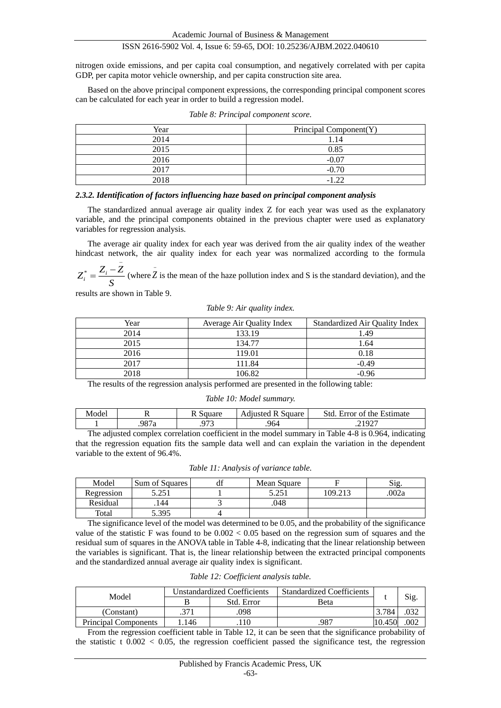Academic Journal of Business & Management

## ISSN 2616-5902 Vol. 4, Issue 6: 59-65, DOI: 10.25236/AJBM.2022.040610

nitrogen oxide emissions, and per capita coal consumption, and negatively correlated with per capita GDP, per capita motor vehicle ownership, and per capita construction site area.

Based on the above principal component expressions, the corresponding principal component scores can be calculated for each year in order to build a regression model.

| Year | Principal Component(Y) |
|------|------------------------|
| 2014 | 1.14                   |
| 2015 | 0.85                   |
| 2016 | $-0.07$                |
| 2017 | $-0.70$                |
| 2018 | $-122$                 |

#### *2.3.2. Identification of factors influencing haze based on principal component analysis*

The standardized annual average air quality index Z for each year was used as the explanatory variable, and the principal components obtained in the previous chapter were used as explanatory variables for regression analysis.

The average air quality index for each year was derived from the air quality index of the weather hindcast network, the air quality index for each year was normalized according to the formula

$$
Z_i^* = \frac{Z_i - Z}{S}
$$
 (where  $\overline{Z}$  is the mean of the haze pollution index and S is the standard deviation), and the

results are shown in Table 9.

#### *Table 9: Air quality index.*

| Year | Average Air Quality Index | Standardized Air Quality Index |
|------|---------------------------|--------------------------------|
| 2014 | 133.19                    | 1.49                           |
| 2015 | 134.77                    | 1.64                           |
| 2016 | 119.01                    | 0.18                           |
| 2017 | 111.84                    | $-0.49$                        |
| 2018 | 106.82                    | $-0.96$                        |

The results of the regression analysis performed are presented in the following table:

#### *Table 10: Model summary.*

| Model       | . .  | $\alpha$            | square<br>Adjusted<br>. . | Std<br>Error of the Estimate |
|-------------|------|---------------------|---------------------------|------------------------------|
|             | 987a | 072<br>ل <i>ا د</i> | .964                      | 21027<br>1/2<br>ت            |
| $\sim$<br>. |      | $\sim$ $\sim$       |                           | ________________             |

The adjusted complex correlation coefficient in the model summary in Table 4-8 is 0.964, indicating that the regression equation fits the sample data well and can explain the variation in the dependent variable to the extent of 96.4%.

|  |  |  |  | Table 11: Analysis of variance table. |  |
|--|--|--|--|---------------------------------------|--|
|--|--|--|--|---------------------------------------|--|

| Model      | <b>Sum of Squares</b> | - Ui | Mean Square |         | Sig   |
|------------|-----------------------|------|-------------|---------|-------|
| Regression | 5.251                 |      | 5.251       | 109.213 | .002a |
| Residual   | 144                   |      | .048        |         |       |
| Total      | 5.395                 |      |             |         |       |

The significance level of the model was determined to be 0.05, and the probability of the significance value of the statistic F was found to be  $0.002 < 0.05$  based on the regression sum of squares and the residual sum of squares in the ANOVA table in Table 4-8, indicating that the linear relationship between the variables is significant. That is, the linear relationship between the extracted principal components and the standardized annual average air quality index is significant.

| Table 12: Coefficient analysis table. |  |
|---------------------------------------|--|
|---------------------------------------|--|

| Model                       | Unstandardized Coefficients |            | <b>Standardized Coefficients</b> |        |      |
|-----------------------------|-----------------------------|------------|----------------------------------|--------|------|
|                             |                             | Std. Error | Beta                             |        | Sig. |
| (Constant)                  |                             | 098        |                                  | .784   |      |
| <b>Principal Components</b> | 146                         |            | .987                             | 10.450 | .002 |

From the regression coefficient table in Table 12, it can be seen that the significance probability of the statistic t  $0.002 < 0.05$ , the regression coefficient passed the significance test, the regression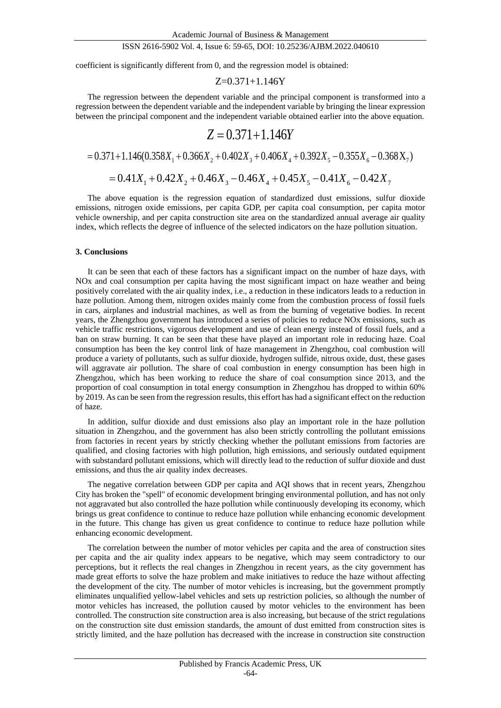coefficient is significantly different from 0, and the regression model is obtained:

$$
Z\!\!=\!\!0.371\!\!+\!\!1.146Y
$$

The regression between the dependent variable and the principal component is transformed into a regression between the dependent variable and the independent variable by bringing the linear expression between the principal component and the independent variable obtained earlier into the above equation.

$$
Z = 0.371 + 1.146Y
$$

$$
= 0.371 + 1.146(0.358X_1 + 0.366X_2 + 0.402X_3 + 0.406X_4 + 0.392X_5 - 0.355X_6 - 0.368X_7)
$$

$$
= 0.41X_1 + 0.42X_2 + 0.46X_3 - 0.46X_4 + 0.45X_5 - 0.41X_6 - 0.42X_7
$$

The above equation is the regression equation of standardized dust emissions, sulfur dioxide emissions, nitrogen oxide emissions, per capita GDP, per capita coal consumption, per capita motor vehicle ownership, and per capita construction site area on the standardized annual average air quality index, which reflects the degree of influence of the selected indicators on the haze pollution situation.

#### **3. Conclusions**

It can be seen that each of these factors has a significant impact on the number of haze days, with NOx and coal consumption per capita having the most significant impact on haze weather and being positively correlated with the air quality index, i.e., a reduction in these indicators leads to a reduction in haze pollution. Among them, nitrogen oxides mainly come from the combustion process of fossil fuels in cars, airplanes and industrial machines, as well as from the burning of vegetative bodies. In recent years, the Zhengzhou government has introduced a series of policies to reduce NOx emissions, such as vehicle traffic restrictions, vigorous development and use of clean energy instead of fossil fuels, and a ban on straw burning. It can be seen that these have played an important role in reducing haze. Coal consumption has been the key control link of haze management in Zhengzhou, coal combustion will produce a variety of pollutants, such as sulfur dioxide, hydrogen sulfide, nitrous oxide, dust, these gases will aggravate air pollution. The share of coal combustion in energy consumption has been high in Zhengzhou, which has been working to reduce the share of coal consumption since 2013, and the proportion of coal consumption in total energy consumption in Zhengzhou has dropped to within 60% by 2019. As can be seen from the regression results, this effort has had a significant effect on the reduction of haze.

In addition, sulfur dioxide and dust emissions also play an important role in the haze pollution situation in Zhengzhou, and the government has also been strictly controlling the pollutant emissions from factories in recent years by strictly checking whether the pollutant emissions from factories are qualified, and closing factories with high pollution, high emissions, and seriously outdated equipment with substandard pollutant emissions, which will directly lead to the reduction of sulfur dioxide and dust emissions, and thus the air quality index decreases.

The negative correlation between GDP per capita and AQI shows that in recent years, Zhengzhou City has broken the "spell" of economic development bringing environmental pollution, and has not only not aggravated but also controlled the haze pollution while continuously developing its economy, which brings us great confidence to continue to reduce haze pollution while enhancing economic development in the future. This change has given us great confidence to continue to reduce haze pollution while enhancing economic development.

The correlation between the number of motor vehicles per capita and the area of construction sites per capita and the air quality index appears to be negative, which may seem contradictory to our perceptions, but it reflects the real changes in Zhengzhou in recent years, as the city government has made great efforts to solve the haze problem and make initiatives to reduce the haze without affecting the development of the city. The number of motor vehicles is increasing, but the government promptly eliminates unqualified yellow-label vehicles and sets up restriction policies, so although the number of motor vehicles has increased, the pollution caused by motor vehicles to the environment has been controlled. The construction site construction area is also increasing, but because of the strict regulations on the construction site dust emission standards, the amount of dust emitted from construction sites is strictly limited, and the haze pollution has decreased with the increase in construction site construction